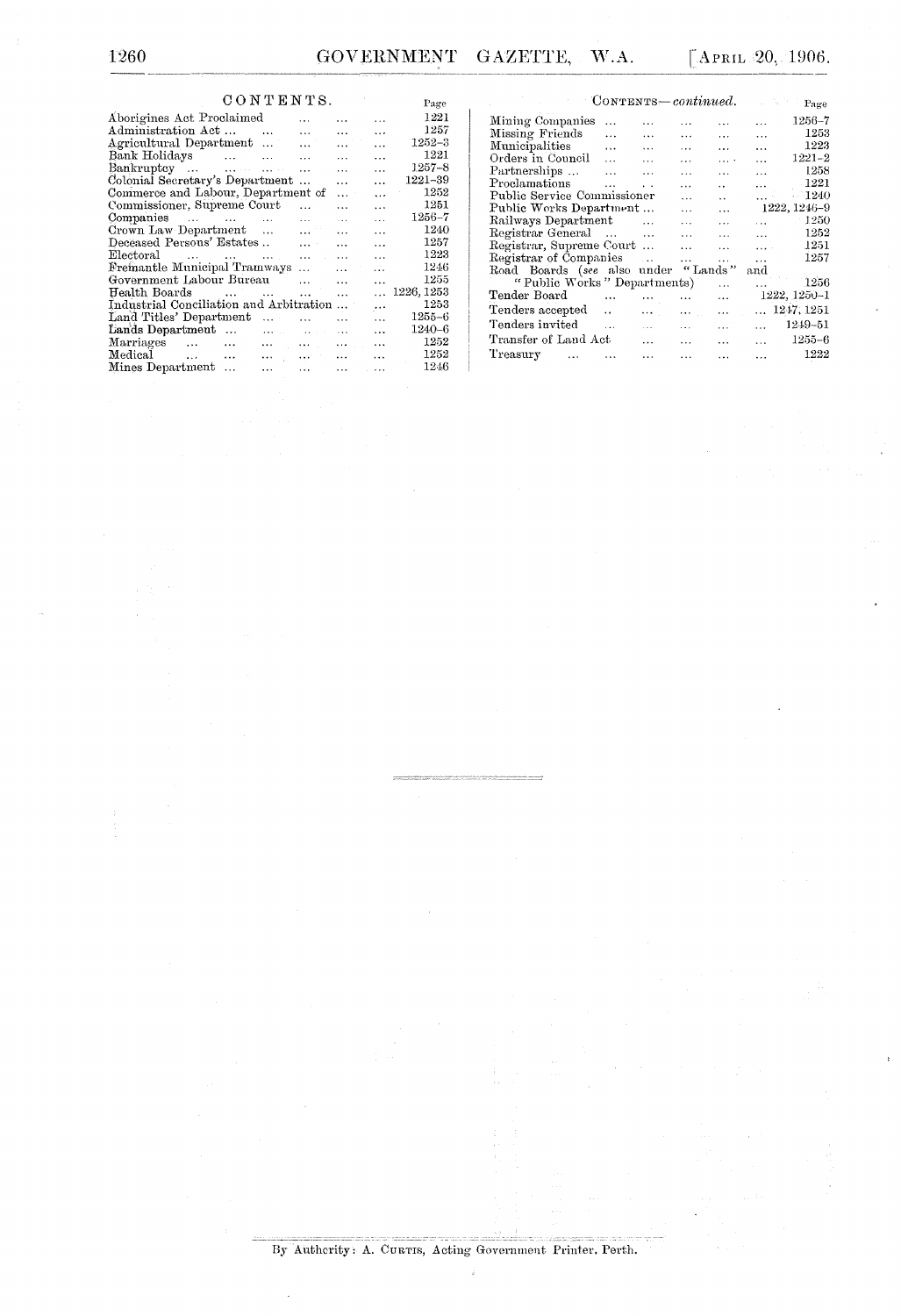## $CONTERNTS.$

| CONTENTS.                                                                  | Page                  |                 |            |
|----------------------------------------------------------------------------|-----------------------|-----------------|------------|
| Aborigines Act Proclaimed                                                  |                       | $\cdot$ $\cdot$ | 1221       |
| Administration Act<br>$\sim$<br>$\sim$ $\sim$                              | $\overline{a}$        | $\ddotsc$       | 1257       |
| Agricultural Department                                                    | $\cdots$              | $\ddotsc$       | $1252 - 3$ |
| Bank Holidays                                                              | $\ddotsc$             | $\ddotsc$       | 1221       |
| $Bankruptcy \dots \dots \dots \dots \dots$                                 | $\ddotsc$             | $\ddotsc$       | $1257 - 8$ |
| Colonial Secretary's Department                                            | $\cdots$              | $\ddotsc$       | 1221-39    |
| Commerce and Labour, Department of                                         | $\ddotsc$             | $\ddotsc$       | 1252       |
| Commissioner, Supreme Court<br>$\ddot{\phantom{a}}$                        | $\ddotsc$             | $\ddotsc$       | 1251       |
| Companies<br>$\ddotsc$                                                     | $\sim$ $\sim$ $\sim$  | $\ddotsc$       | $1256 - 7$ |
| Crown Law Department<br><b>Contract Contract Contract</b>                  | $\cdots$              | $\cdots$        | 1240       |
| Deceased Persons' Estates<br>$2.2 - 1.7$                                   | $\ddotsc$             | $\ddotsc$       | 1257       |
| ${\rm Electoral}$<br>and a series of the company of the series<br>$\cdots$ | $\ddotsc$             | $\ddotsc$       | 1223       |
| Fremantle Municipal Tramways<br><b>SALE OF BRIDE</b>                       | $\cdots$              | $\mathbf{A}$    | 1246       |
| Government Labour Bureau<br>$\overline{a}$                                 | $\ddotsc$             | $\ddotsc$       | 1255       |
| Health Boards<br>$\cdots$                                                  | $\ddotsc$             | $\cdots$        | 1226, 1253 |
| Industrial Conciliation and Arbitration                                    |                       | $\ldots$        | 1253       |
| Land Titles' Department<br>$\ddotsc$                                       | $\ddotsc$             | $\cdots$        | $1255 - 6$ |
| Lands Department                                                           | $\cdots$              | $\ddotsc$       | 1240–6     |
| Marriages<br>and a series of the control of<br>and the con-                | and the con-          | $\ddotsc$       | 1252       |
| Medical                                                                    |                       | $\cdots$        | 1252       |
| Mines Department<br>and the con-<br>$\cdots$                               | $\dddot{\phantom{0}}$ |                 | 1246       |
|                                                                            |                       |                 |            |

| CONTENTS-continued.         |           |                      |           |                      | 加拿大       | Page         |
|-----------------------------|-----------|----------------------|-----------|----------------------|-----------|--------------|
| Mining Companies            | $\ddotsc$ | .                    | $\cdots$  |                      |           | $1256 - 7$   |
| Missing Friends             | $\cdots$  | $\cdots$             | $\cdots$  | $\cdots$             | $\ddotsc$ | 1253         |
| Municipalities              | $\cdots$  | $\ddotsc$            | $\cdots$  | $\cdots$             | $\ddotsc$ | 1223         |
| Orders in Council           | $\cdots$  | $\cdots$             | $\cdots$  | $\cdots$             | $\ddotsc$ | $1221 - 2$   |
| Partnerships                | $\ddotsc$ | $\cdots$             | .         | $\cdots$             | $\cdots$  | 1258         |
| Proclamations               | $\cdots$  | $\ddot{\phantom{0}}$ | $\cdots$  | $\ddot{\phantom{a}}$ | $\cdots$  | 1221         |
| Public Service Commissioner |           |                      | $\cdots$  | $\ddot{\phantom{a}}$ | .         | $-1240$      |
| Public Works Department     |           |                      | $\cdots$  | $\ddotsc$            |           | 1222, 1246-9 |
| Railways Department         |           | $\ldots$             | $\cdots$  | $\cdots$             | $\cdots$  | 1250         |
| Registrar General           |           | $\sim$               | $\ddotsc$ | $\cdots$             | $\cdots$  | 1252         |
| Registrar, Supreme Court    |           |                      | $\ddotsc$ | $\cdots$             | $1.11 -$  | 1251         |
| Registrar of Companies      |           | $\cdots$             | $\ddotsc$ | $\cdots$             | $\cdots$  | 1257         |
| Road Boards (see also under |           |                      | "Lands"   |                      | and       |              |
| "Public Works" Departments) |           |                      |           | $\cdots$             |           | 1256         |
| Tender Board                | $\cdots$  |                      | $\cdot$   | $\cdots$             |           | 1222, 1250-1 |
| Tenders accepted            |           | .                    | $\cdots$  | $\cdots$             | $\ddotsc$ | 1247, 1251   |
| Tenders invited             | $\cdots$  | $\sim$               | $\cdots$  | .                    |           | 1249-51      |
| Transfer of Land Act        |           | $\ddotsc$            | $\ddotsc$ | $\cdots$             | $\cdots$  | 1255-6       |
| Treasury<br>$\ddotsc$       |           | $\ddotsc$            |           | .                    | $\ddotsc$ | 1222         |

th,